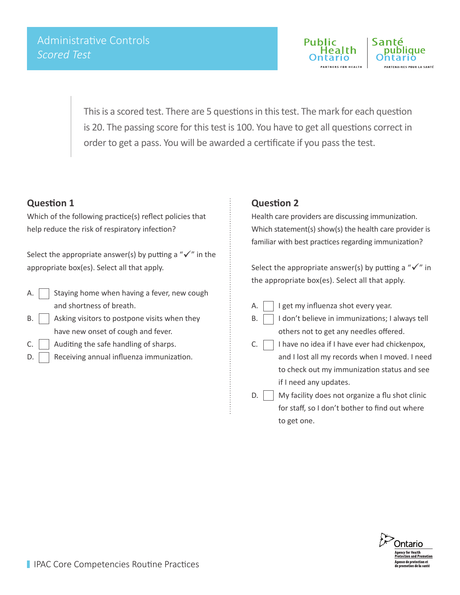

This is a scored test. There are 5 questions in this test. The mark for each question is 20. The passing score for this test is 100. You have to get all questions correct in order to get a pass. You will be awarded a certificate if you pass the test.

### **Question 1**

Which of the following practice(s) reflect policies that help reduce the risk of respiratory infection?

Select the appropriate answer(s) by putting a " $\checkmark$ " in the appropriate box(es). Select all that apply.

- A.  $\vert$  Staying home when having a fever, new cough and shortness of breath.
- B.  $\vert$  Asking visitors to postpone visits when they have new onset of cough and fever.
- $C.$  Auditing the safe handling of sharps.
- $D.$  Receiving annual influenza immunization.

#### **Question 2**

Health care providers are discussing immunization. Which statement(s) show(s) the health care provider is familiar with best practices regarding immunization?

Select the appropriate answer(s) by putting a " $\checkmark$ " in the appropriate box(es). Select all that apply.

- A.  $\vert \vert$  I get my influenza shot every year.
- $B.$  I don't believe in immunizations; I always tell others not to get any needles offered.
- $C.$  I have no idea if I have ever had chickenpox, and I lost all my records when I moved. I need to check out my immunization status and see if I need any updates.
- $D.$   $\parallel$  My facility does not organize a flu shot clinic for staff, so I don't bother to find out where to get one.

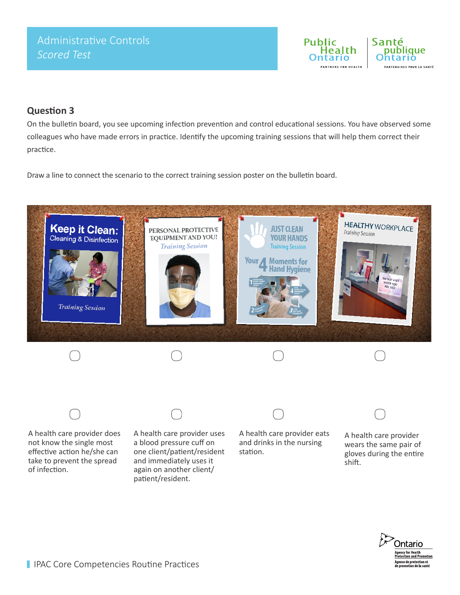

## **Question 3**

On the bulletin board, you see upcoming infection prevention and control educational sessions. You have observed some colleagues who have made errors in practice. Identify the upcoming training sessions that will help them correct their practice.

Draw a line to connect the scenario to the correct training session poster on the bulletin board.